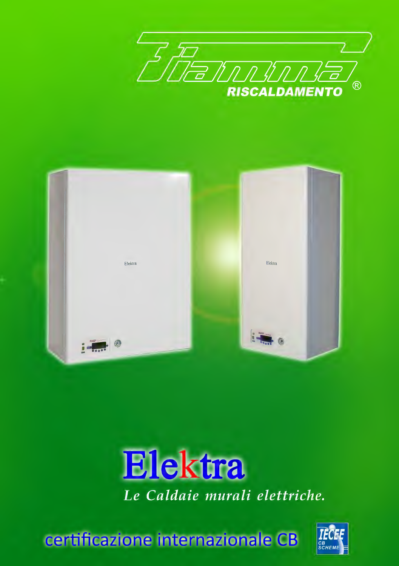





certificazione internazionale CB

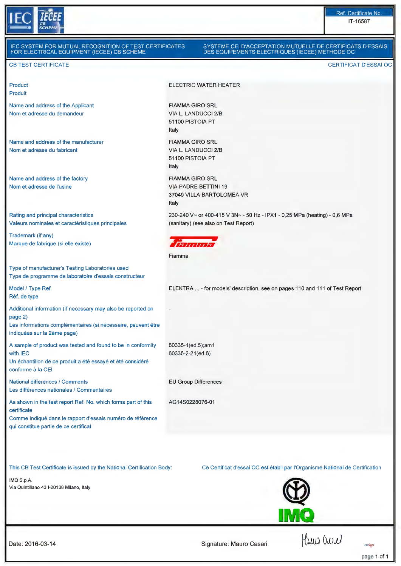

l

| IEC SYSTEM FOR MUTUAL RECOGNITION OF TEST CERTIFICATES<br>FOR ELECTRICAL EQUIPMENT (IECEE) CB SCHEME                                                                                |                                                                            | SYSTEME CEI D'ACCEPTATION MUTUELLE DE CERTIFICATS D'ESSAIS<br>DES EQUIPEMENTS ELECTRIQUES (IECEE) METHODE OC      |  |
|-------------------------------------------------------------------------------------------------------------------------------------------------------------------------------------|----------------------------------------------------------------------------|-------------------------------------------------------------------------------------------------------------------|--|
| <b>CB TEST CERTIFICATE</b>                                                                                                                                                          |                                                                            | <b>CERTIFICAT D'ESSAI OC</b>                                                                                      |  |
| Product<br><b>Produit</b>                                                                                                                                                           |                                                                            | <b>ELECTRIC WATER HEATER</b>                                                                                      |  |
| Name and address of the Applicant<br>Nom et adresse du demandeur                                                                                                                    | <b>FIAMMA GIRO SRL</b><br>VIA L. LANDUCCI 2/B<br>51100 PISTOIA PT<br>Italy |                                                                                                                   |  |
| Name and address of the manufacturer<br>Nom et adresse du fabricant                                                                                                                 | <b>FIAMMA GIRO SRL</b><br>VIA L. LANDUCCI 2/B<br>51100 PISTOIA PT<br>Italy |                                                                                                                   |  |
| Name and address of the factory<br>Nom et adresse de l'usine                                                                                                                        | <b>FIAMMA GIRO SRL</b><br><b>VIA PADRE BETTINI 19</b><br>Italy             | 37049 VILLA BARTOLOMEA VR                                                                                         |  |
| Rating and principal characteristics<br>Valeurs nominales et caractéristiques principales                                                                                           |                                                                            | 230-240 V~ or 400-415 V 3N~ - 50 Hz - IPX1 - 0.25 MPa (heating) - 0.6 MPa<br>(sanitary) (see also on Test Report) |  |
| Trademark (if any)<br>Marque de fabrique (si elle existe)                                                                                                                           | F                                                                          |                                                                                                                   |  |
| Type of manufacturer's Testing Laboratories used<br>Type de programme de laboratoire d'essais constructeur                                                                          | Fiamma                                                                     |                                                                                                                   |  |
| Model / Type Ref.<br>Réf. de type                                                                                                                                                   |                                                                            | ELEKTRA  - for models' description, see on pages 110 and 111 of Test Report                                       |  |
| Additional information (if necessary may also be reported on<br>page 2)<br>Les informations complémentaires (si nécessaire, peuvent être<br>indiquées sur la 2ème page)             |                                                                            |                                                                                                                   |  |
| A sample of product was tested and found to be in conformity<br>with IEC<br>Un échantillon de ce produit a été essayé et été considéré<br>conforme à la CEI                         | 60335-1(ed.5);am1<br>60335-2-21(ed.6)                                      |                                                                                                                   |  |
| National differences / Comments<br>Les différences nationales / Commentaires                                                                                                        | <b>EU Group Differences</b>                                                |                                                                                                                   |  |
| As shown in the test report Ref. No. which forms part of this<br>certificate<br>Comme indiqué dans le rapport d'essais numéro de référence<br>qui constitue partie de ce certificat | AG14S0228076-01                                                            |                                                                                                                   |  |
| This CB Test Certificate is issued by the National Certification Body:                                                                                                              |                                                                            | Ce Certificat d'essai OC est établi par l'Organisme National de Certification                                     |  |

IMQ S.p.A. Via Quintiliano 43 1-20138 Milano, ltaly



Date: 2016-03-14 Signature: Mauro Casari

page 1 of 1

cosign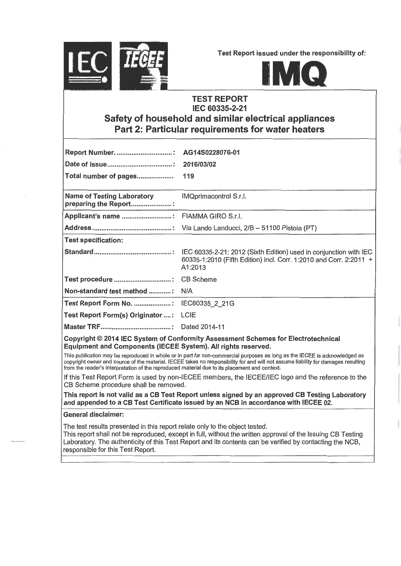

Test Report issued under the responsibility of:



## **TEST REPORT** IEC 60335-2-21 Safety of household and similar electrical appliances Part 2: Particular requirements for water heaters

| <b>Report Number:</b>                                      | AG14S0228076-01                                                               |
|------------------------------------------------------------|-------------------------------------------------------------------------------|
|                                                            | 2016/03/02                                                                    |
| Total number of pages                                      | 119                                                                           |
| <b>Name of Testing Laboratory</b><br>preparing the Report: | IMQprimacontrol S.r.l.                                                        |
|                                                            |                                                                               |
|                                                            |                                                                               |
| <b>Test specification:</b>                                 |                                                                               |
|                                                            | 60335-1:2010 (Fifth Edition) incl. Corr. 1:2010 and Corr. 2:2011 +<br>A1:2013 |
|                                                            |                                                                               |
| Non-standard test method :                                 | N/A                                                                           |
| Test Report Form No. : IEC60335_2_21G                      |                                                                               |
| Test Report Form(s) Originator  :                          | LCIE                                                                          |
|                                                            |                                                                               |
|                                                            |                                                                               |

## Copyright© 2014 IEC System of Conformity Assessment Schemes for Electrotechnical Equipment and Components (IECEE System). Ali rights reserved.

This publication may be reproduced in whole or in part for non-commercial purposes as long as the IECEE is acknowledged as copyright owner and source of the material. IECEE takes no responsibility for and will not assume liability for damages resulting from the reader's interpretation of the reproduced material due to its placement and context.

lf this Test Report Form is used by non-IECEE members, the IECEE/IEC logo and the reference to the CB Scheme procedure shall be removed.

This report is not valid as a CB Test Report unless signed by an approved CB Testing Laboratory and appended to a CB Test Certificate issued by an NCB in accordance with IECEE 02.

## Generai disclaimer:

The test results presented in this report relate only to the object tested.

This report shall not be reproduced, except in full, without the written approvai of the lssuing CB Testing Laboratory. The authenticity of this Test Report and its contents can be verified by contacting the NCB, responsible for this Test Report.